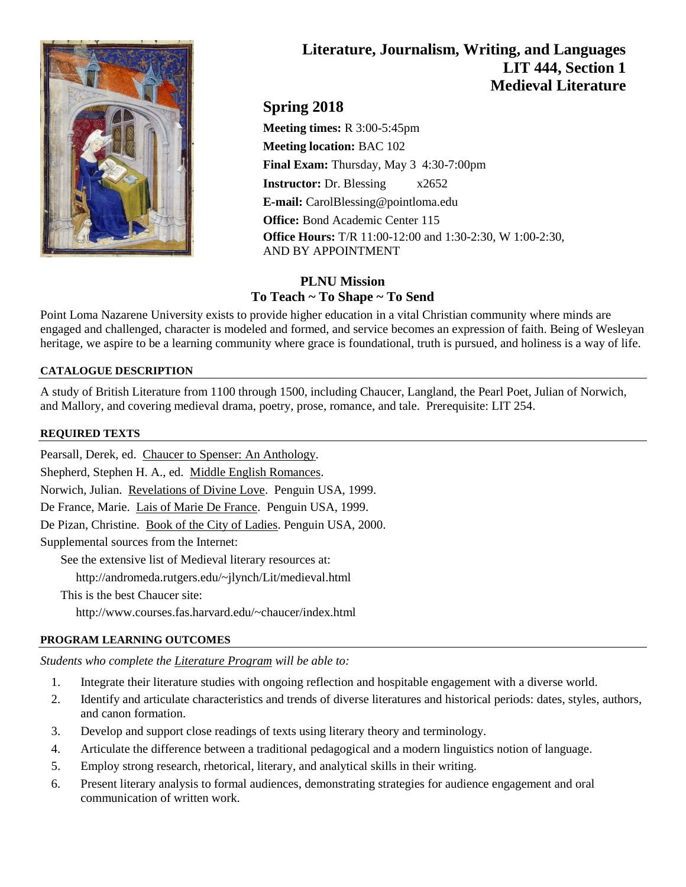

# **Literature, Journalism, Writing, and Languages LIT 444, Section 1 Medieval Literature**

## **Spring 2018**

**Meeting times:** R 3:00-5:45pm **Meeting location:** BAC 102 **Final Exam:** Thursday, May 3 4:30-7:00pm **Instructor:** Dr. Blessing x2652 **E-mail:** CarolBlessing@pointloma.edu **Office:** Bond Academic Center 115 **Office Hours:** T/R 11:00-12:00 and 1:30-2:30, W 1:00-2:30, AND BY APPOINTMENT

## **PLNU Mission To Teach ~ To Shape ~ To Send**

Point Loma Nazarene University exists to provide higher education in a vital Christian community where minds are engaged and challenged, character is modeled and formed, and service becomes an expression of faith. Being of Wesleyan heritage, we aspire to be a learning community where grace is foundational, truth is pursued, and holiness is a way of life.

## **CATALOGUE DESCRIPTION**

A study of British Literature from 1100 through 1500, including Chaucer, Langland, the Pearl Poet, Julian of Norwich, and Mallory, and covering medieval drama, poetry, prose, romance, and tale. Prerequisite: LIT 254.

#### **REQUIRED TEXTS**

Pearsall, Derek, ed. Chaucer to Spenser: An Anthology. Shepherd, Stephen H. A., ed. Middle English Romances. Norwich, Julian. Revelations of Divine Love. Penguin USA, 1999. De France, Marie. Lais of Marie De France. Penguin USA, 1999. De Pizan, Christine. Book of the City of Ladies. Penguin USA, 2000. Supplemental sources from the Internet: See the extensive list of Medieval literary resources at: http://andromeda.rutgers.edu/~jlynch/Lit/medieval.html This is the best Chaucer site: http://www.courses.fas.harvard.edu/~chaucer/index.html

## **PROGRAM LEARNING OUTCOMES**

*Students who complete the Literature Program will be able to:*

- 1. Integrate their literature studies with ongoing reflection and hospitable engagement with a diverse world.
- 2. Identify and articulate characteristics and trends of diverse literatures and historical periods: dates, styles, authors, and canon formation.
- 3. Develop and support close readings of texts using literary theory and terminology.
- 4. Articulate the difference between a traditional pedagogical and a modern linguistics notion of language.
- 5. Employ strong research, rhetorical, literary, and analytical skills in their writing.
- 6. Present literary analysis to formal audiences, demonstrating strategies for audience engagement and oral communication of written work.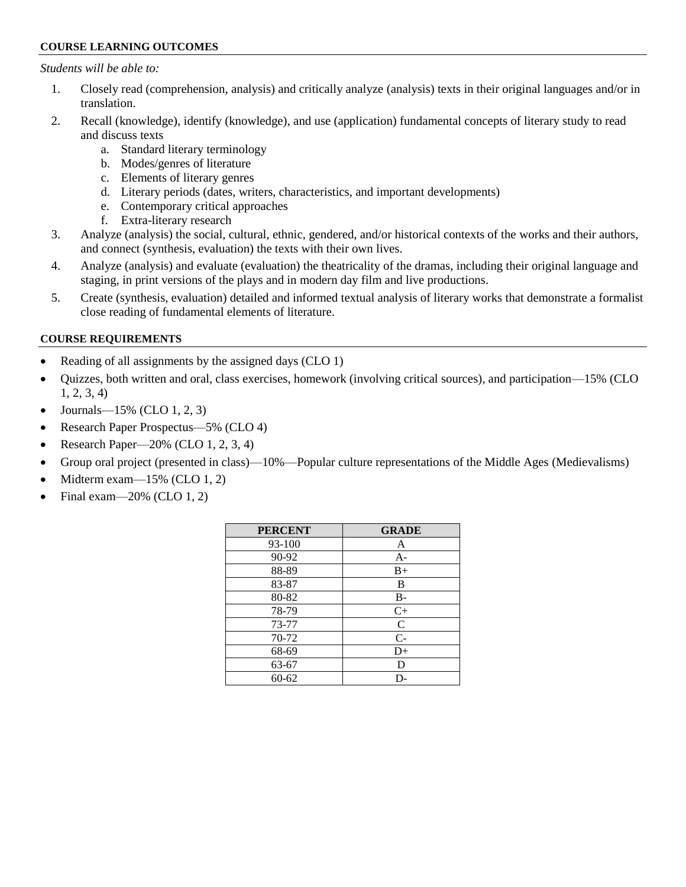#### **COURSE LEARNING OUTCOMES**

#### *Students will be able to:*

- 1. Closely read (comprehension, analysis) and critically analyze (analysis) texts in their original languages and/or in translation.
- 2. Recall (knowledge), identify (knowledge), and use (application) fundamental concepts of literary study to read and discuss texts
	- a. Standard literary terminology
	- b. Modes/genres of literature
	- c. Elements of literary genres
	- d. Literary periods (dates, writers, characteristics, and important developments)
	- e. Contemporary critical approaches
	- f. Extra-literary research
- 3. Analyze (analysis) the social, cultural, ethnic, gendered, and/or historical contexts of the works and their authors, and connect (synthesis, evaluation) the texts with their own lives.
- 4. Analyze (analysis) and evaluate (evaluation) the theatricality of the dramas, including their original language and staging, in print versions of the plays and in modern day film and live productions.
- 5. Create (synthesis, evaluation) detailed and informed textual analysis of literary works that demonstrate a formalist close reading of fundamental elements of literature.

#### **COURSE REQUIREMENTS**

- Reading of all assignments by the assigned days (CLO 1)
- Quizzes, both written and oral, class exercises, homework (involving critical sources), and participation—15% (CLO 1, 2, 3, 4)
- Journals— $15\%$  (CLO 1, 2, 3)
- Research Paper Prospectus—5% (CLO 4)
- Research Paper— $20\%$  (CLO 1, 2, 3, 4)
- Group oral project (presented in class)—10%—Popular culture representations of the Middle Ages (Medievalisms)
- $\bullet$  Midterm exam—15% (CLO 1, 2)
- Final exam— $20\%$  (CLO 1, 2)

| <b>PERCENT</b> | <b>GRADE</b> |
|----------------|--------------|
| 93-100         | A            |
| 90-92          | A-           |
| 88-89          | $B+$         |
| 83-87          | B            |
| 80-82          | $B-$         |
| 78-79          | $C+$         |
| 73-77          | C            |
| 70-72          | $C-$         |
| 68-69          | $D+$         |
| 63-67          | D            |
| 60-62          |              |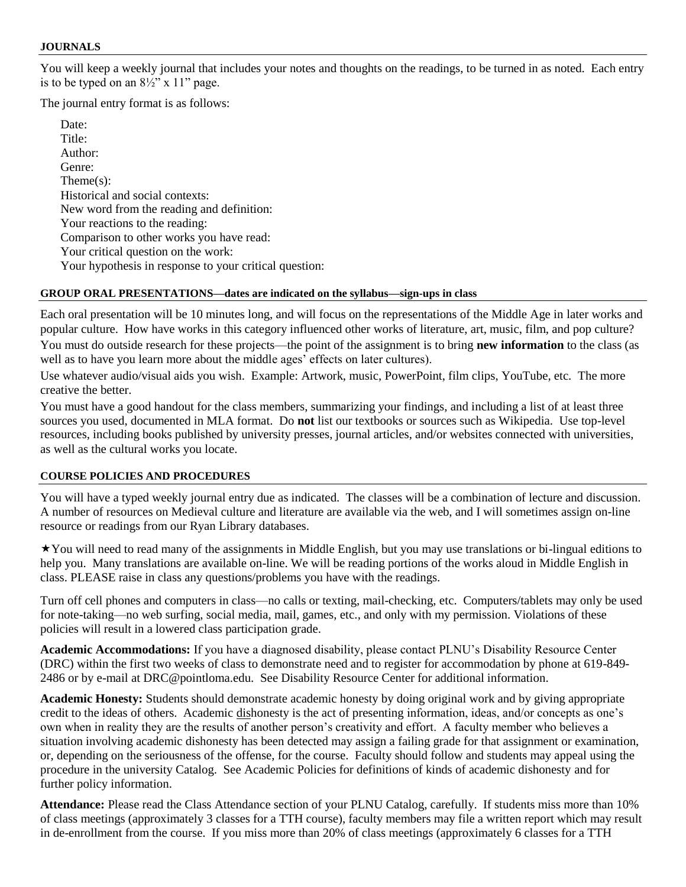#### **JOURNALS**

You will keep a weekly journal that includes your notes and thoughts on the readings, to be turned in as noted. Each entry is to be typed on an  $8\frac{1}{2}$ " x 11" page.

The journal entry format is as follows:

Date: Title: Author: Genre: Theme(s): Historical and social contexts: New word from the reading and definition: Your reactions to the reading: Comparison to other works you have read: Your critical question on the work: Your hypothesis in response to your critical question:

#### **GROUP ORAL PRESENTATIONS—dates are indicated on the syllabus—sign-ups in class**

Each oral presentation will be 10 minutes long, and will focus on the representations of the Middle Age in later works and popular culture. How have works in this category influenced other works of literature, art, music, film, and pop culture?

You must do outside research for these projects—the point of the assignment is to bring **new information** to the class (as well as to have you learn more about the middle ages' effects on later cultures).

Use whatever audio/visual aids you wish. Example: Artwork, music, PowerPoint, film clips, YouTube, etc. The more creative the better.

You must have a good handout for the class members, summarizing your findings, and including a list of at least three sources you used, documented in MLA format. Do **not** list our textbooks or sources such as Wikipedia. Use top-level resources, including books published by university presses, journal articles, and/or websites connected with universities, as well as the cultural works you locate.

#### **COURSE POLICIES AND PROCEDURES**

You will have a typed weekly journal entry due as indicated. The classes will be a combination of lecture and discussion. A number of resources on Medieval culture and literature are available via the web, and I will sometimes assign on-line resource or readings from our Ryan Library databases.

You will need to read many of the assignments in Middle English, but you may use translations or bi-lingual editions to help you. Many translations are available on-line. We will be reading portions of the works aloud in Middle English in class. PLEASE raise in class any questions/problems you have with the readings.

Turn off cell phones and computers in class—no calls or texting, mail-checking, etc. Computers/tablets may only be used for note-taking—no web surfing, social media, mail, games, etc., and only with my permission. Violations of these policies will result in a lowered class participation grade.

**Academic Accommodations:** If you have a diagnosed disability, please contact PLNU's Disability Resource Center (DRC) within the first two weeks of class to demonstrate need and to register for accommodation by phone at 619-849- 2486 or by e-mail at DRC@pointloma.edu. See Disability Resource Center for additional information.

**Academic Honesty:** Students should demonstrate academic honesty by doing original work and by giving appropriate credit to the ideas of others. Academic dishonesty is the act of presenting information, ideas, and/or concepts as one's own when in reality they are the results of another person's creativity and effort. A faculty member who believes a situation involving academic dishonesty has been detected may assign a failing grade for that assignment or examination, or, depending on the seriousness of the offense, for the course. Faculty should follow and students may appeal using the procedure in the university Catalog. See Academic Policies for definitions of kinds of academic dishonesty and for further policy information.

**Attendance:** Please read the Class Attendance section of your PLNU Catalog, carefully. If students miss more than 10% of class meetings (approximately 3 classes for a TTH course), faculty members may file a written report which may result in de-enrollment from the course. If you miss more than 20% of class meetings (approximately 6 classes for a TTH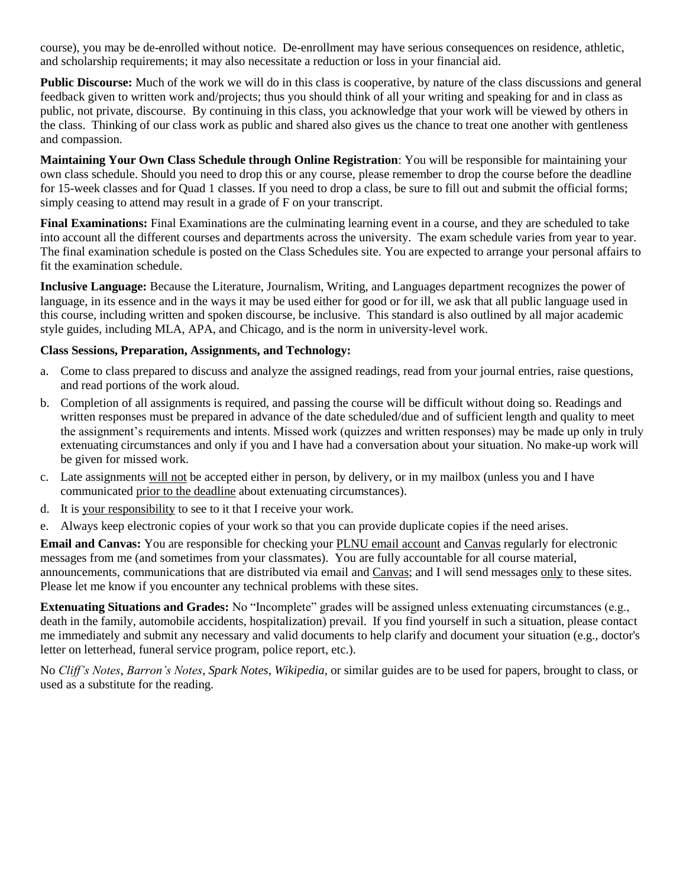course), you may be de-enrolled without notice. De-enrollment may have serious consequences on residence, athletic, and scholarship requirements; it may also necessitate a reduction or loss in your financial aid.

**Public Discourse:** Much of the work we will do in this class is cooperative, by nature of the class discussions and general feedback given to written work and/projects; thus you should think of all your writing and speaking for and in class as public, not private, discourse. By continuing in this class, you acknowledge that your work will be viewed by others in the class. Thinking of our class work as public and shared also gives us the chance to treat one another with gentleness and compassion.

**Maintaining Your Own Class Schedule through Online Registration**: You will be responsible for maintaining your own class schedule. Should you need to drop this or any course, please remember to drop the course before the deadline for 15-week classes and for Quad 1 classes. If you need to drop a class, be sure to fill out and submit the official forms; simply ceasing to attend may result in a grade of F on your transcript.

**Final Examinations:** Final Examinations are the culminating learning event in a course, and they are scheduled to take into account all the different courses and departments across the university. The exam schedule varies from year to year. The final examination schedule is posted on the Class Schedules site. You are expected to arrange your personal affairs to fit the examination schedule.

**Inclusive Language:** Because the Literature, Journalism, Writing, and Languages department recognizes the power of language, in its essence and in the ways it may be used either for good or for ill, we ask that all public language used in this course, including written and spoken discourse, be inclusive. This standard is also outlined by all major academic style guides, including MLA, APA, and Chicago, and is the norm in university-level work.

### **Class Sessions, Preparation, Assignments, and Technology:**

- a. Come to class prepared to discuss and analyze the assigned readings, read from your journal entries, raise questions, and read portions of the work aloud.
- b. Completion of all assignments is required, and passing the course will be difficult without doing so. Readings and written responses must be prepared in advance of the date scheduled/due and of sufficient length and quality to meet the assignment's requirements and intents. Missed work (quizzes and written responses) may be made up only in truly extenuating circumstances and only if you and I have had a conversation about your situation. No make-up work will be given for missed work.
- c. Late assignments will not be accepted either in person, by delivery, or in my mailbox (unless you and I have communicated prior to the deadline about extenuating circumstances).
- d. It is your responsibility to see to it that I receive your work.
- e. Always keep electronic copies of your work so that you can provide duplicate copies if the need arises.

**Email and Canvas:** You are responsible for checking your PLNU email account and Canvas regularly for electronic messages from me (and sometimes from your classmates). You are fully accountable for all course material, announcements, communications that are distributed via email and Canvas; and I will send messages only to these sites. Please let me know if you encounter any technical problems with these sites.

**Extenuating Situations and Grades:** No "Incomplete" grades will be assigned unless extenuating circumstances (e.g., death in the family, automobile accidents, hospitalization) prevail. If you find yourself in such a situation, please contact me immediately and submit any necessary and valid documents to help clarify and document your situation (e.g., doctor's letter on letterhead, funeral service program, police report, etc.).

No *Cliff's Notes*, *Barron's Notes*, *Spark Notes*, *Wikipedia*, or similar guides are to be used for papers, brought to class, or used as a substitute for the reading.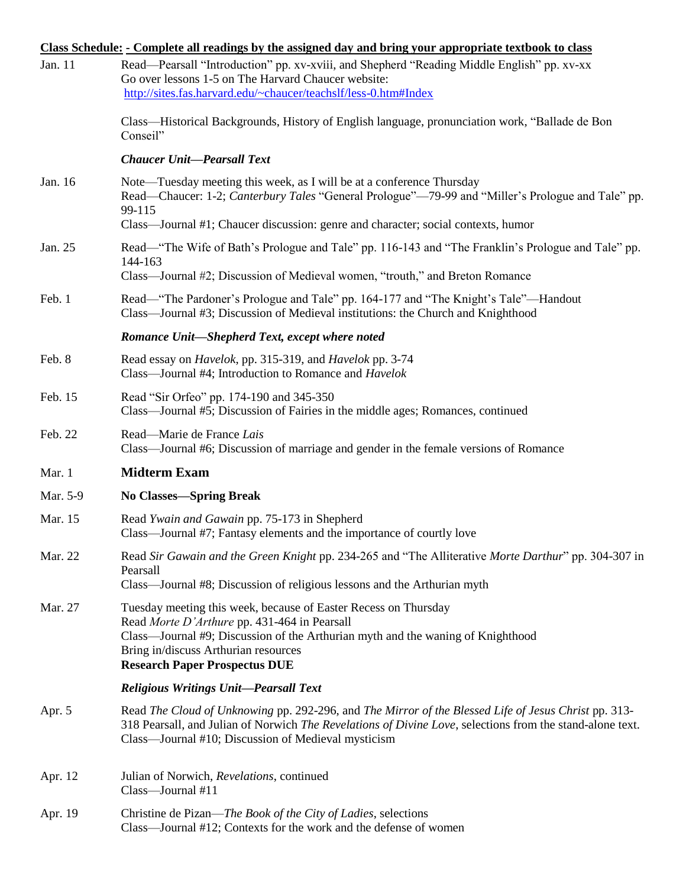|          | Class Schedule: - Complete all readings by the assigned day and bring your appropriate textbook to class                                                                                                                                                                           |
|----------|------------------------------------------------------------------------------------------------------------------------------------------------------------------------------------------------------------------------------------------------------------------------------------|
| Jan. 11  | Read—Pearsall "Introduction" pp. xv-xviii, and Shepherd "Reading Middle English" pp. xv-xx<br>Go over lessons 1-5 on The Harvard Chaucer website:                                                                                                                                  |
|          | http://sites.fas.harvard.edu/~chaucer/teachslf/less-0.htm#Index                                                                                                                                                                                                                    |
|          | Class—Historical Backgrounds, History of English language, pronunciation work, "Ballade de Bon<br>Conseil"                                                                                                                                                                         |
|          | <b>Chaucer Unit-Pearsall Text</b>                                                                                                                                                                                                                                                  |
| Jan. 16  | Note—Tuesday meeting this week, as I will be at a conference Thursday<br>Read—Chaucer: 1-2; Canterbury Tales "General Prologue"—79-99 and "Miller's Prologue and Tale" pp.<br>99-115<br>Class—Journal #1; Chaucer discussion: genre and character; social contexts, humor          |
| Jan. 25  | Read—"The Wife of Bath's Prologue and Tale" pp. 116-143 and "The Franklin's Prologue and Tale" pp.<br>144-163<br>Class—Journal #2; Discussion of Medieval women, "trouth," and Breton Romance                                                                                      |
| Feb. 1   | Read—"The Pardoner's Prologue and Tale" pp. 164-177 and "The Knight's Tale"—Handout<br>Class—Journal #3; Discussion of Medieval institutions: the Church and Knighthood                                                                                                            |
|          | Romance Unit-Shepherd Text, except where noted                                                                                                                                                                                                                                     |
| Feb. 8   | Read essay on <i>Havelok</i> , pp. 315-319, and <i>Havelok</i> pp. 3-74<br>Class—Journal #4; Introduction to Romance and <i>Havelok</i>                                                                                                                                            |
| Feb. 15  | Read "Sir Orfeo" pp. 174-190 and 345-350<br>Class—Journal #5; Discussion of Fairies in the middle ages; Romances, continued                                                                                                                                                        |
| Feb. 22  | Read-Marie de France Lais<br>Class—Journal #6; Discussion of marriage and gender in the female versions of Romance                                                                                                                                                                 |
| Mar. 1   | <b>Midterm Exam</b>                                                                                                                                                                                                                                                                |
| Mar. 5-9 | <b>No Classes—Spring Break</b>                                                                                                                                                                                                                                                     |
| Mar. 15  | Read Ywain and Gawain pp. 75-173 in Shepherd<br>Class—Journal #7; Fantasy elements and the importance of courtly love                                                                                                                                                              |
| Mar. 22  | Read Sir Gawain and the Green Knight pp. 234-265 and "The Alliterative Morte Darthur" pp. 304-307 in<br>Pearsall<br>Class—Journal #8; Discussion of religious lessons and the Arthurian myth                                                                                       |
| Mar. 27  | Tuesday meeting this week, because of Easter Recess on Thursday<br>Read Morte D'Arthure pp. 431-464 in Pearsall<br>Class—Journal #9; Discussion of the Arthurian myth and the waning of Knighthood<br>Bring in/discuss Arthurian resources<br><b>Research Paper Prospectus DUE</b> |
|          | <b>Religious Writings Unit-Pearsall Text</b>                                                                                                                                                                                                                                       |
| Apr. 5   | Read The Cloud of Unknowing pp. 292-296, and The Mirror of the Blessed Life of Jesus Christ pp. 313-<br>318 Pearsall, and Julian of Norwich The Revelations of Divine Love, selections from the stand-alone text.<br>Class—Journal #10; Discussion of Medieval mysticism           |
| Apr. 12  | Julian of Norwich, Revelations, continued<br>Class—Journal #11                                                                                                                                                                                                                     |
| Apr. 19  | Christine de Pizan—The Book of the City of Ladies, selections<br>Class—Journal #12; Contexts for the work and the defense of women                                                                                                                                                 |